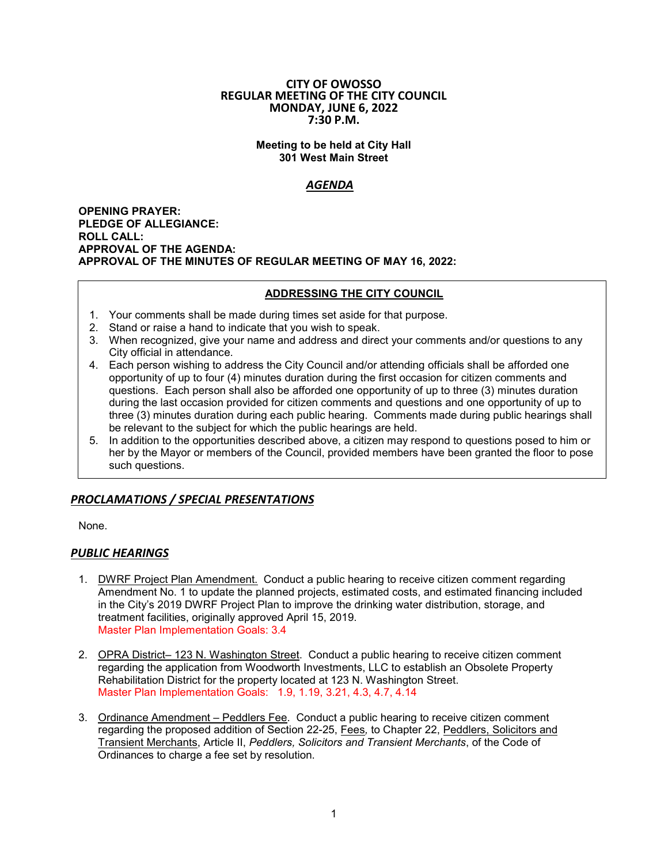#### **CITY OF OWOSSO REGULAR MEETING OF THE CITY COUNCIL MONDAY, JUNE 6, 2022 7:30 P.M.**

### **Meeting to be held at City Hall 301 West Main Street**

# *AGENDA*

**OPENING PRAYER: PLEDGE OF ALLEGIANCE: ROLL CALL: APPROVAL OF THE AGENDA: APPROVAL OF THE MINUTES OF REGULAR MEETING OF MAY 16, 2022:**

# **ADDRESSING THE CITY COUNCIL**

- 1. Your comments shall be made during times set aside for that purpose.
- 2. Stand or raise a hand to indicate that you wish to speak.
- 3. When recognized, give your name and address and direct your comments and/or questions to any City official in attendance.
- 4. Each person wishing to address the City Council and/or attending officials shall be afforded one opportunity of up to four (4) minutes duration during the first occasion for citizen comments and questions. Each person shall also be afforded one opportunity of up to three (3) minutes duration during the last occasion provided for citizen comments and questions and one opportunity of up to three (3) minutes duration during each public hearing. Comments made during public hearings shall be relevant to the subject for which the public hearings are held.
- 5. In addition to the opportunities described above, a citizen may respond to questions posed to him or her by the Mayor or members of the Council, provided members have been granted the floor to pose such questions.

# *PROCLAMATIONS / SPECIAL PRESENTATIONS*

None.

# *PUBLIC HEARINGS*

- 1. DWRF Project Plan Amendment. Conduct a public hearing to receive citizen comment regarding Amendment No. 1 to update the planned projects, estimated costs, and estimated financing included in the City's 2019 DWRF Project Plan to improve the drinking water distribution, storage, and treatment facilities, originally approved April 15, 2019. Master Plan Implementation Goals: 3.4
- 2. OPRA District– 123 N. Washington Street. Conduct a public hearing to receive citizen comment regarding the application from Woodworth Investments, LLC to establish an Obsolete Property Rehabilitation District for the property located at 123 N. Washington Street. Master Plan Implementation Goals: 1.9, 1.19, 3.21, 4.3, 4.7, 4.14
- 3. Ordinance Amendment Peddlers Fee. Conduct a public hearing to receive citizen comment regarding the proposed addition of Section 22-25, Fees*,* to Chapter 22, Peddlers, Solicitors and Transient Merchants, Article II, *Peddlers, Solicitors and Transient Merchants*, of the Code of Ordinances to charge a fee set by resolution.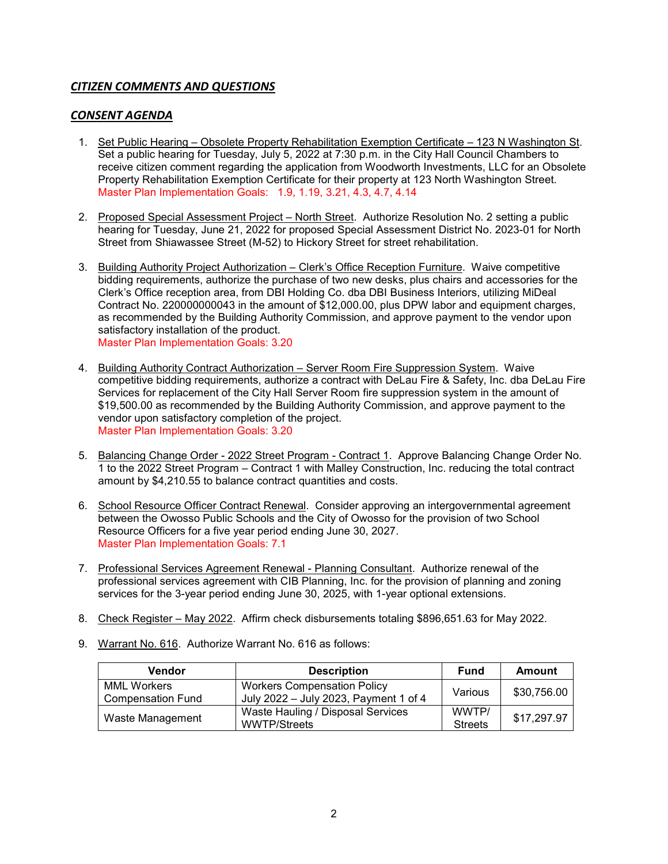# *CITIZEN COMMENTS AND QUESTIONS*

# *CONSENT AGENDA*

- 1. Set Public Hearing Obsolete Property Rehabilitation Exemption Certificate 123 N Washington St. Set a public hearing for Tuesday, July 5, 2022 at 7:30 p.m. in the City Hall Council Chambers to receive citizen comment regarding the application from Woodworth Investments, LLC for an Obsolete Property Rehabilitation Exemption Certificate for their property at 123 North Washington Street. Master Plan Implementation Goals: 1.9, 1.19, 3.21, 4.3, 4.7, 4.14
- 2. Proposed Special Assessment Project North Street. Authorize Resolution No. 2 setting a public hearing for Tuesday, June 21, 2022 for proposed Special Assessment District No. 2023-01 for North Street from Shiawassee Street (M-52) to Hickory Street for street rehabilitation.
- 3. Building Authority Project Authorization Clerk's Office Reception Furniture. Waive competitive bidding requirements, authorize the purchase of two new desks, plus chairs and accessories for the Clerk's Office reception area, from DBI Holding Co. dba DBI Business Interiors, utilizing MiDeal Contract No. 220000000043 in the amount of \$12,000.00, plus DPW labor and equipment charges, as recommended by the Building Authority Commission, and approve payment to the vendor upon satisfactory installation of the product. Master Plan Implementation Goals: 3.20
- 4. Building Authority Contract Authorization Server Room Fire Suppression System. Waive competitive bidding requirements, authorize a contract with DeLau Fire & Safety, Inc. dba DeLau Fire Services for replacement of the City Hall Server Room fire suppression system in the amount of \$19,500.00 as recommended by the Building Authority Commission, and approve payment to the vendor upon satisfactory completion of the project. Master Plan Implementation Goals: 3.20
- 5. Balancing Change Order 2022 Street Program Contract 1. Approve Balancing Change Order No. 1 to the 2022 Street Program – Contract 1 with Malley Construction, Inc. reducing the total contract amount by \$4,210.55 to balance contract quantities and costs.
- 6. School Resource Officer Contract Renewal. Consider approving an intergovernmental agreement between the Owosso Public Schools and the City of Owosso for the provision of two School Resource Officers for a five year period ending June 30, 2027. Master Plan Implementation Goals: 7.1
- 7. Professional Services Agreement Renewal Planning Consultant. Authorize renewal of the professional services agreement with CIB Planning, Inc. for the provision of planning and zoning services for the 3-year period ending June 30, 2025, with 1-year optional extensions.
- 8. Check Register May 2022. Affirm check disbursements totaling \$896,651.63 for May 2022.
- 9. Warrant No. 616. Authorize Warrant No. 616 as follows:

| <b>Vendor</b>                           | <b>Description</b>                                                          | <b>Fund</b>             | <b>Amount</b> |
|-----------------------------------------|-----------------------------------------------------------------------------|-------------------------|---------------|
| <b>MML Workers</b><br>Compensation Fund | <b>Workers Compensation Policy</b><br>July 2022 - July 2023, Payment 1 of 4 | Various                 | \$30,756.00   |
| Waste Management                        | Waste Hauling / Disposal Services<br><b>WWTP/Streets</b>                    | WWTP/<br><b>Streets</b> | \$17,297.97   |